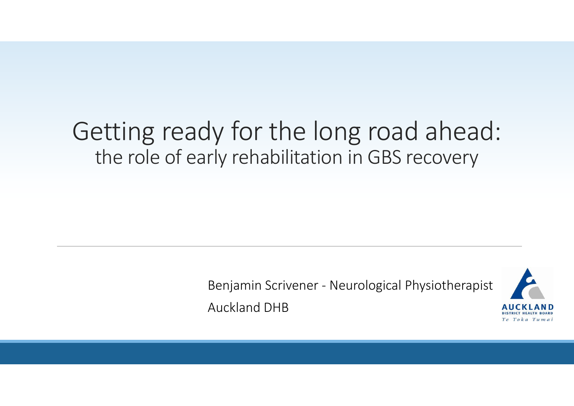### Getting ready for the long road ahead: the role of early rehabilitation in GBS recovery

Benjamin Scrivener - Neurological Physiotherapist Auckland DHB

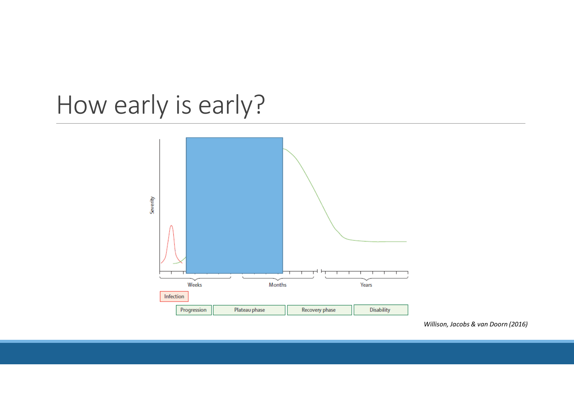## How early is early?



*Willison, Jacobs & van Doorn (2016)*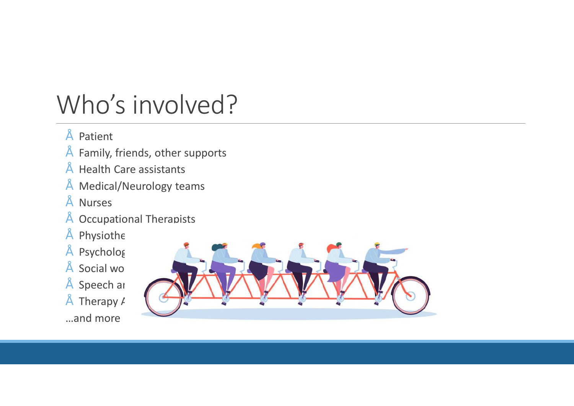## Who's involved?

- Patient
- Family, friends, other supports
- Health Care assistants
- Medical/Neurology teams
- Nurses
- Occupational Therapists
- $"$  Physiothe
- $"$  Psycholog
- $"$  Social wo
- $"$  Speech ar
- Therapy  $$
- …and more

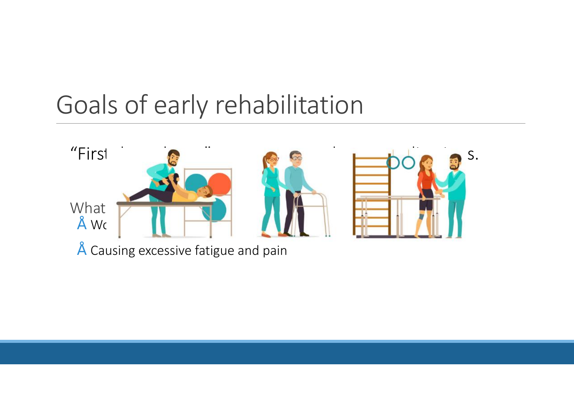## Goals of early rehabilitation



• Causing excessive fatigue and pain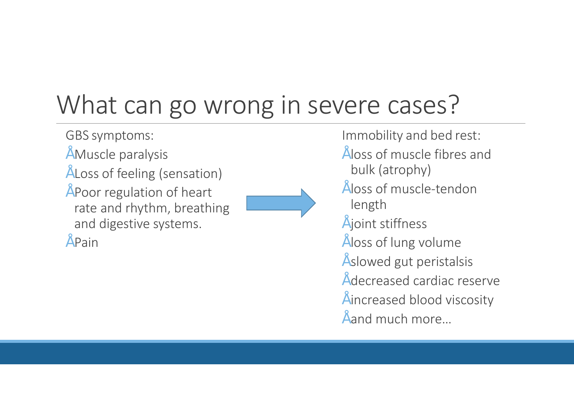# What can go wrong in severe cases?

- GBS symptoms:
- Muscle paralysis
- Loss of feeling (sensation)
- Poor regulation of heart rate and rhythm, breathing and digestive systems.

 $"$  Pain



#### Immobility and bed rest:

- loss of muscle fibres and bulk (atrophy)
- loss of muscle-tendon length
- joint stiffness
- loss of lung volume
- slowed gut peristalsis
- decreased cardiac reserve
- increased blood viscosity
- $\tilde{ }$  and much more...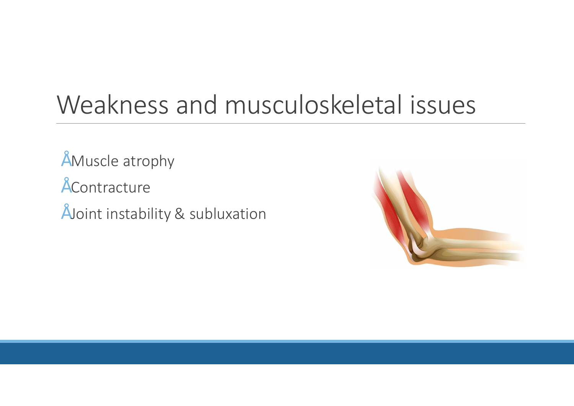### Weakness and musculoskeletal issues

- Muscle atrophy
- Contracture
- Joint instability & subluxation

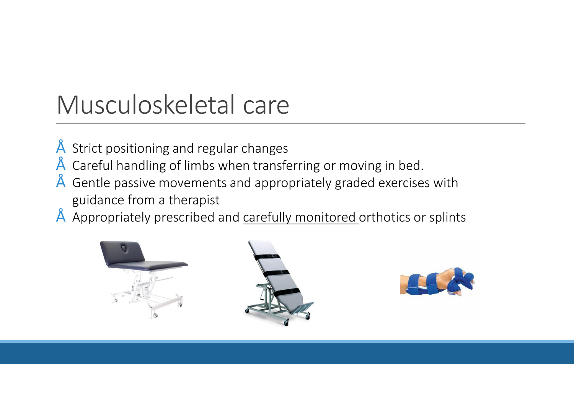## Musculoskeletal care

- Strict positioning and regular changes
- Careful handling of limbs when transferring or moving in bed.
- Gentle passive movements and appropriately graded exercises with guidance from a therapist
- Appropriately prescribed and carefully monitored orthotics or splints

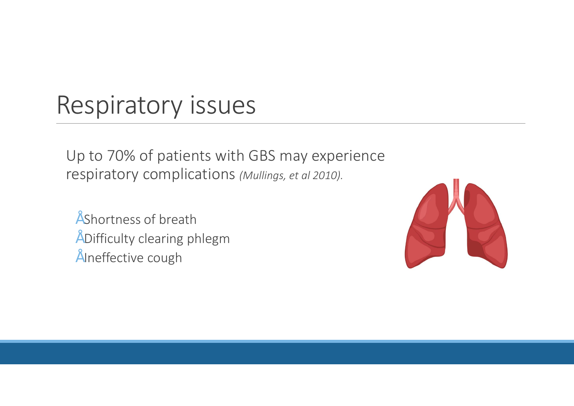### Respiratory issues

Up to 70% of patients with GBS may experience respiratory complications *(Mullings, et al 2010).* 

• Shortness of breath • Difficulty clearing phlegm • Ineffective cough

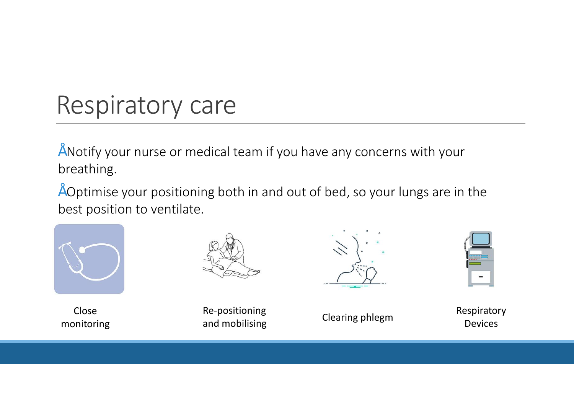### Respiratory care

• Notify your nurse or medical team if you have any concerns with your breathing.

• Optimise your positioning both in and out of bed, so your lungs are in the best position to ventilate.



Close



Close Re-positioning<br>
monitoring and mobilising Clearing phlegm<br>
monitoring and mobilising and mobilising



Respiratory Devices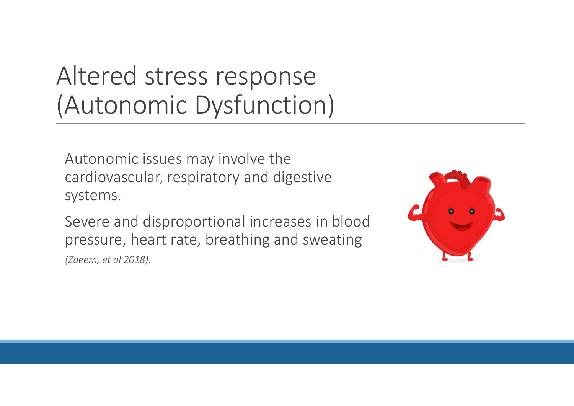## Altered stress response (Autonomic Dysfunction)

Autonomic issues may involve the cardiovascular, respiratory and digestive systems.

Severe and disproportional increases in blood pressure, heart rate, breathing and sweating *(Zaeem, et al 2018).* 

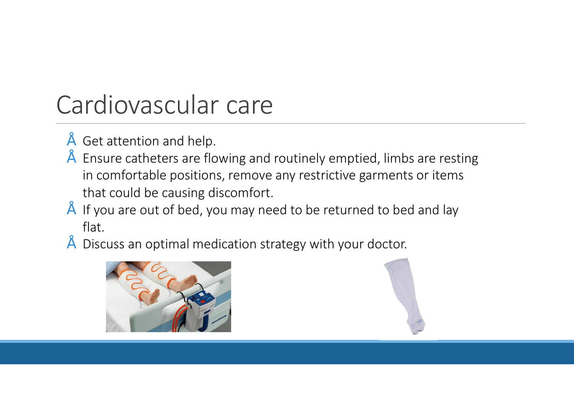## Cardiovascular care

- Get attention and help.
- Ensure catheters are flowing and routinely emptied, limbs are resting in comfortable positions, remove any restrictive garments or items that could be causing discomfort.
- If you are out of bed, you may need to be returned to bed and lay flat.
- Discuss an optimal medication strategy with your doctor.



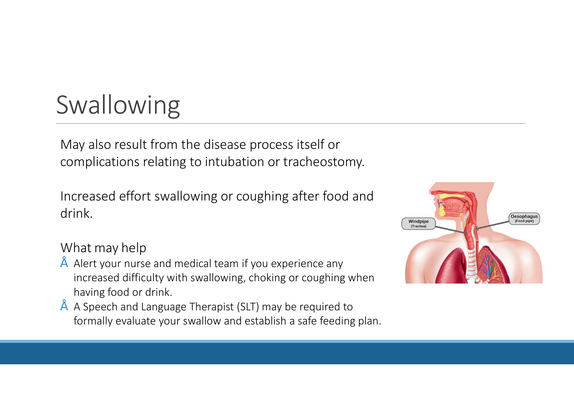# Swallowing

May also result from the disease process itself or complications relating to intubation or tracheostomy.

Increased effort swallowing or coughing after food and drink.

#### What may help

- Alert your nurse and medical team if you experience any increased difficulty with swallowing, choking or coughing when having food or drink.
- A Speech and Language Therapist (SLT) may be required to formally evaluate your swallow and establish a safe feeding plan.

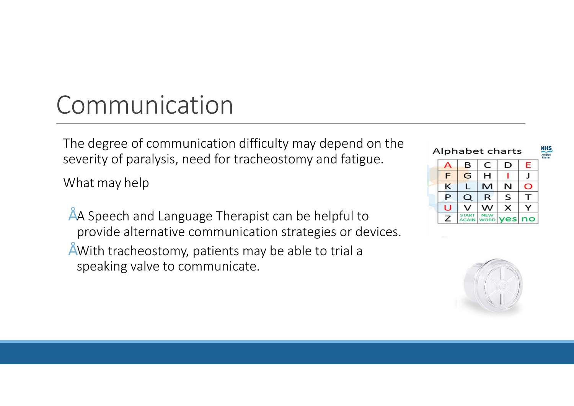## Communication

The degree of communication difficulty may depend on the severity of paralysis, need for tracheostomy and fatigue.

What may help

- A Speech and Language Therapist can be helpful to provide alternative communication strategies or devices.
- With tracheostomy, patients may be able to trial a speaking valve to communicate.



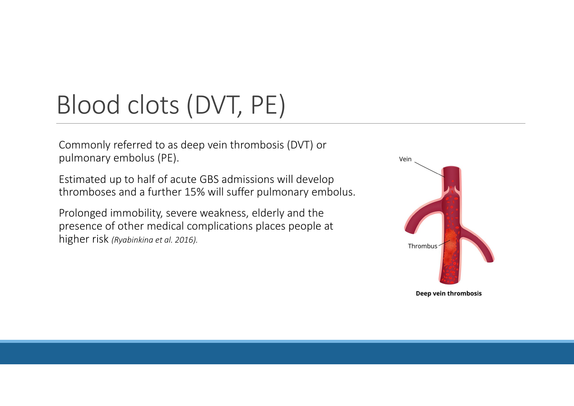# Blood clots (DVT, PE)

Commonly referred to as deep vein thrombosis (DVT) or pulmonary embolus (PE).

Estimated up to half of acute GBS admissions will develop thromboses and a further 15% will suffer pulmonary embolus.

Prolonged immobility, severe weakness, elderly and the presence of other medical complications places people at higher risk *(Ryabinkina et al. 2016).*

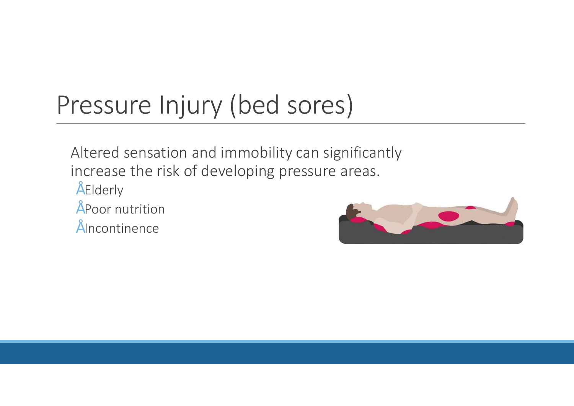# Pressure Injury (bed sores)

Altered sensation and immobility can significantly increase the risk of developing pressure areas.

- Elderly
- Poor nutrition
- Incontinence

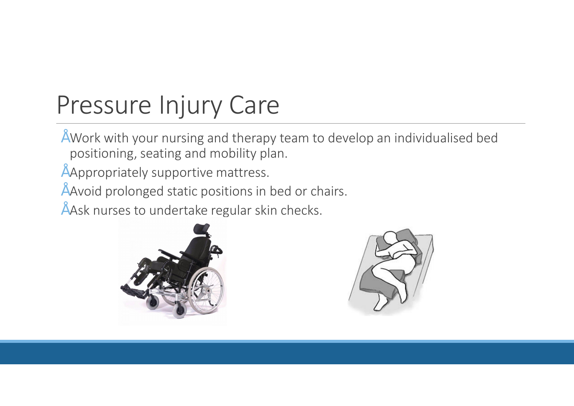# Pressure Injury Care

- Work with your nursing and therapy team to develop an individualised bed positioning, seating and mobility plan.
- Appropriately supportive mattress.
- Avoid prolonged static positions in bed or chairs.
- " Ask nurses to undertake regular skin checks.



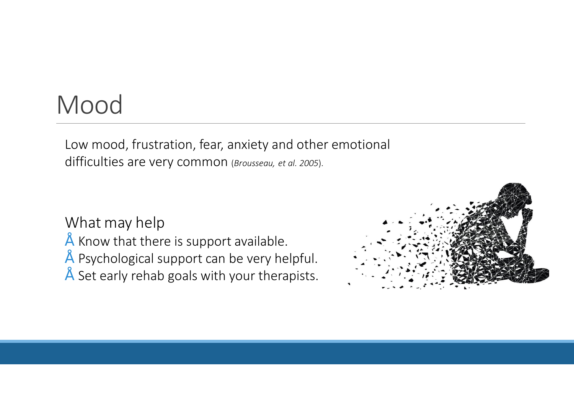### Mood

Low mood, frustration, fear, anxiety and other emotional difficulties are very common (*Brousseau, et al. 2005*).

#### What may help

- Know that there is support available.
- Psychological support can be very helpful.
- Set early rehab goals with your therapists.

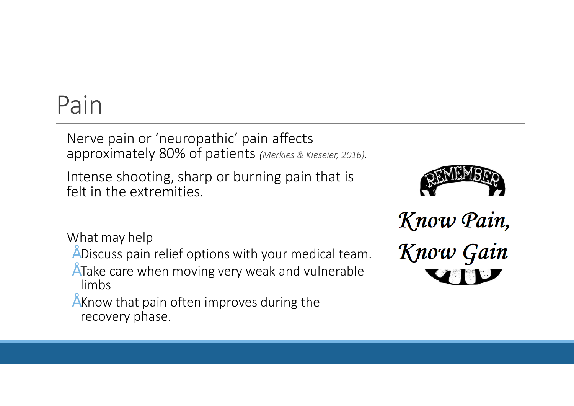### Pain

Nerve pain or 'neuropathic' pain affects approximately 80% of patients *(Merkies & Kieseier, 2016).* 

Intense shooting, sharp or burning pain that is felt in the extremities.



What may help

- Discuss pain relief options with your medical team.
- Take care when moving very weak and vulnerable limbs
- Know that pain often improves during the recovery phase.

Know Pain, Know Gain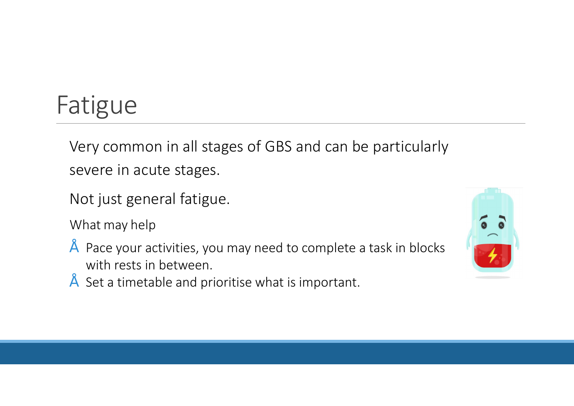# Fatigue

Very common in all stages of GBS and can be particularly severe in acute stages.

Not just general fatigue.

What may help

- Pace your activities, you may need to complete a task in blocks with rests in between.
- Set a timetable and prioritise what is important.

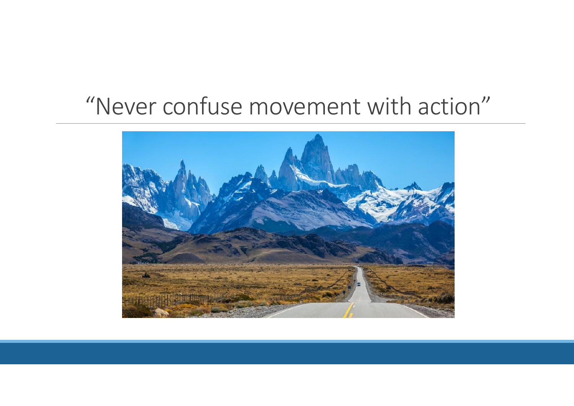### "Never confuse movement with action"